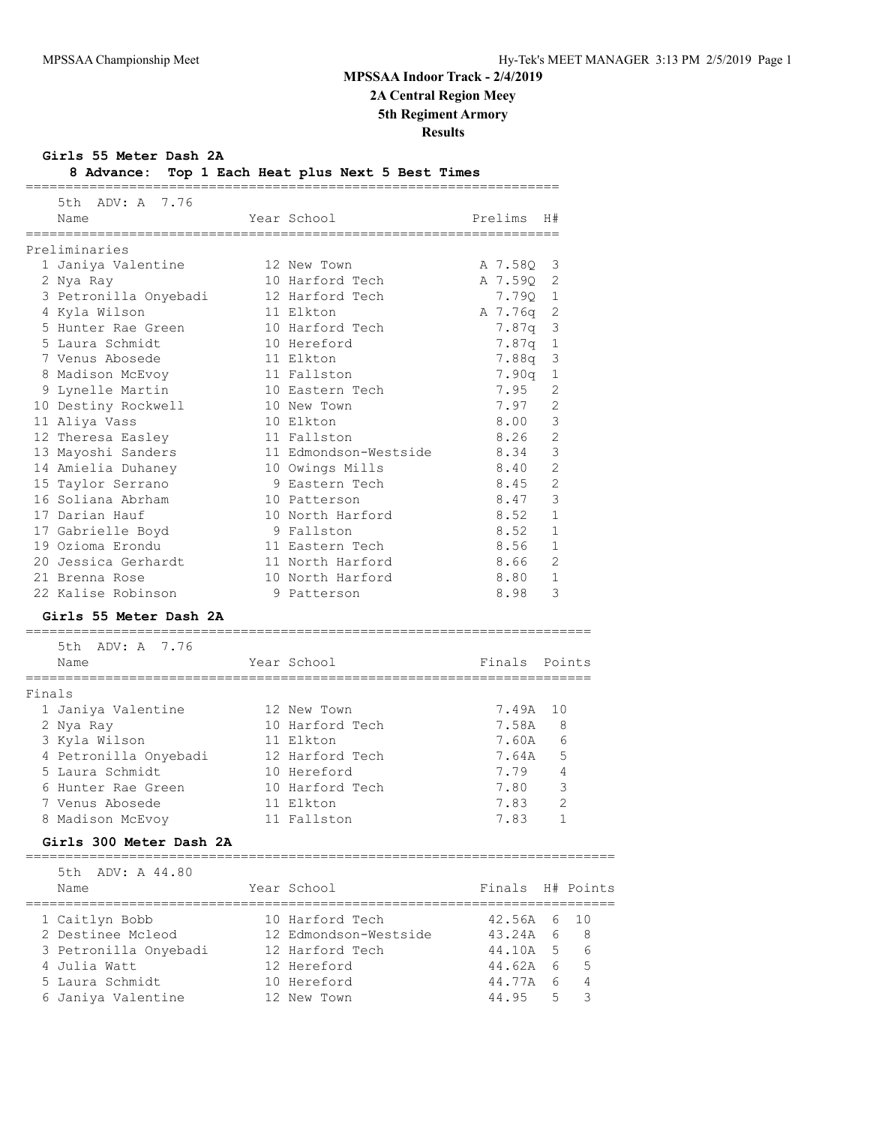## **MPSSAA Indoor Track - 2/4/2019 2A Central Region Meey**

**5th Regiment Armory**

**Results**

**Girls 55 Meter Dash 2A**

| 8 Advance: Top 1 Each Heat plus Next 5 Best Times |  |  |  |  |  |  |  |  |  |
|---------------------------------------------------|--|--|--|--|--|--|--|--|--|
|---------------------------------------------------|--|--|--|--|--|--|--|--|--|

|        | ADV: A 7.76<br>5th.<br>Name                        | Year School           | Prelims | H#             |
|--------|----------------------------------------------------|-----------------------|---------|----------------|
|        | Preliminaries                                      |                       |         |                |
|        | 1 Janiya Valentine                                 | 12 New Town           | A 7.58Q | 3              |
|        | 2 Nya Ray                                          | 10 Harford Tech       | A 7.590 | 2              |
|        | 3 Petronilla Onyebadi                              | 12 Harford Tech       | 7.79Q   | 1              |
|        | 4 Kyla Wilson                                      | 11 Elkton             | A 7.76q | 2              |
|        | 5 Hunter Rae Green                                 | 10 Harford Tech       | 7.87q   | 3              |
|        | 5 Laura Schmidt                                    | 10 Hereford           | 7.87q   | $\mathbf{1}$   |
|        | 7 Venus Abosede                                    | 11 Elkton             | 7.88q   | 3              |
|        | 8 Madison McEvoy                                   | 11 Fallston           | 7.90q   | 1              |
|        | 9 Lynelle Martin                                   | 10 Eastern Tech       | 7.95    | 2              |
|        | 10 Destiny Rockwell                                | 10 New Town           | 7.97    | 2              |
|        | 11 Aliya Vass                                      | 10 Elkton             | 8.00    | 3              |
|        | 12 Theresa Easley                                  | 11 Fallston           | 8.26    | $\mathfrak{D}$ |
|        | 13 Mayoshi Sanders                                 | 11 Edmondson-Westside | 8.34    | 3              |
|        | 14 Amielia Duhaney                                 | 10 Owings Mills       | 8.40    | 2              |
|        | 15 Taylor Serrano                                  | 9 Eastern Tech        | 8.45    | 2              |
|        | 16 Soliana Abrham                                  | 10 Patterson          | 8.47    | 3              |
|        | 17 Darian Hauf                                     | 10 North Harford      | 8.52    | $\mathbf{1}$   |
|        | 17 Gabrielle Boyd                                  | 9 Fallston            | 8.52    | $\mathbf{1}$   |
|        | 19 Ozioma Erondu                                   | 11 Eastern Tech       | 8.56    | 1              |
|        | 20 Jessica Gerhardt                                | 11 North Harford      | 8.66    | 2              |
|        | 21 Brenna Rose                                     | 10 North Harford      | 8.80    | $\mathbf{1}$   |
|        | 22 Kalise Robinson                                 | 9 Patterson           | 8.98    | 3              |
|        | Girls 55 Meter Dash 2A                             |                       |         |                |
|        | ===============================<br>5th ADV: A 7.76 |                       |         |                |
|        | Name                                               | Year School           | Finals  | Points         |
| Finals |                                                    |                       |         |                |
|        | 1 Janiya Valentine                                 | 12 New Town           | 7.49A   | 10             |
|        | 2 Nya Ray                                          | 10 Harford Tech       | 7.58A   | 8              |
|        | 3 Kyla Wilson                                      | 11 Elkton             | 7.60A   | 6              |
|        | 4 Petronilla Onyebadi                              | 12 Harford Tech       | 7.64A   | 5              |
|        | 5 Laura Schmidt                                    | 10 Hereford           | 7.79    | 4              |
|        | 6 Hunter Rae Green                                 | 10 Harford Tech       | 7.80    | 3              |
|        | 7 Venus Abosede                                    | 11 Elkton             | 7.83    | 2              |
|        | 8 Madison McEvoy                                   | 11 Fallston           | 7.83    | 1              |
|        | Girls 300 Meter Dash 2A                            |                       |         |                |
|        | 5th<br>ADV: A 44.80                                |                       |         |                |
|        | Name                                               | Year School           | Finals  | H# Points      |
|        | 1 Caitlyn Bobb                                     | 10 Harford Tech       | 42.56A  | 10<br>6        |
|        | 2 Destinee Mcleod                                  | 12 Edmondson-Westside | 43.24A  | 8<br>6         |
|        | 3 Petronilla Onyebadi                              | 12 Harford Tech       | 44.10A  | 5<br>6         |

 4 Julia Watt 12 Hereford 44.62A 6 5 5 Laura Schmidt 10 Hereford 44.77A 6 4 6 Janiya Valentine 12 New Town 44.95 5 3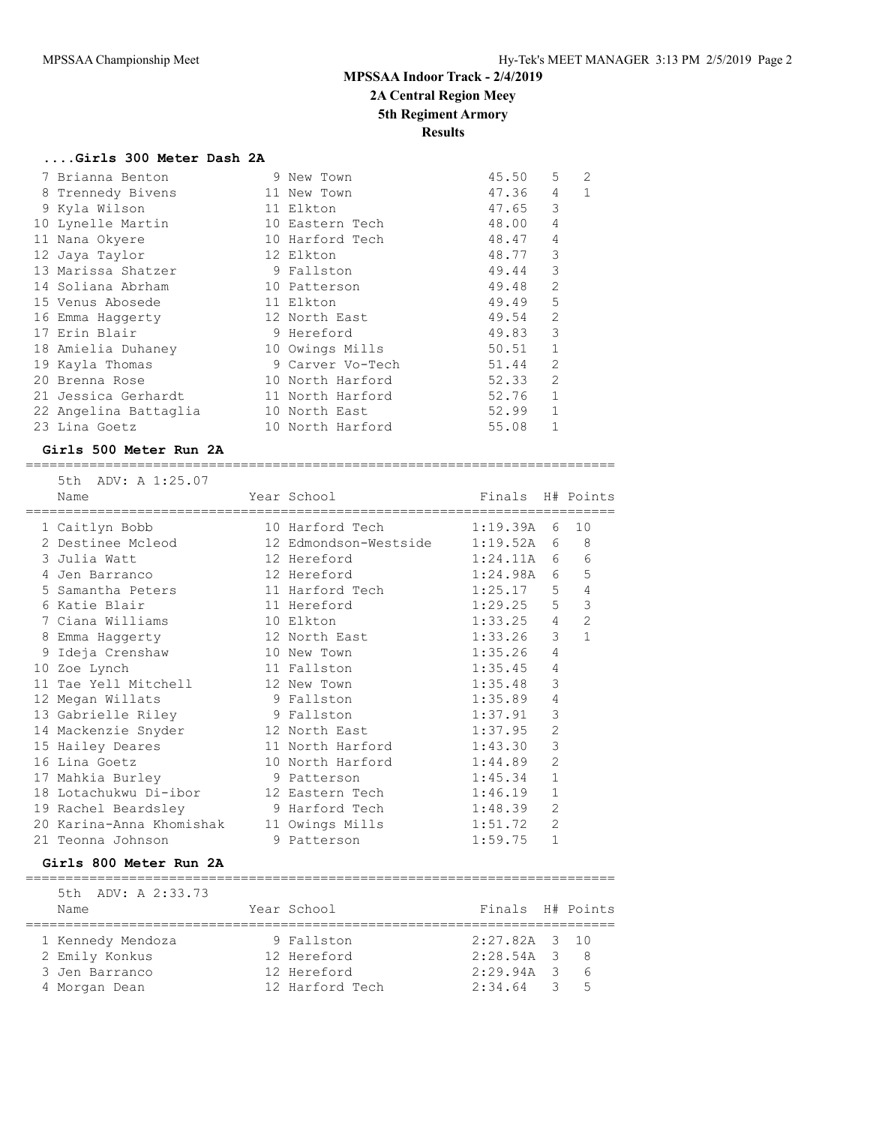**2A Central Region Meey**

### **5th Regiment Armory**

**Results**

### **....Girls 300 Meter Dash 2A**

| 7 Brianna Benton      | 9 New Town       | 45.50 | 5              | 2 |
|-----------------------|------------------|-------|----------------|---|
| 8 Trennedy Bivens     | 11 New Town      | 47.36 | 4              | 1 |
| 9 Kyla Wilson         | 11 Elkton        | 47.65 | 3              |   |
| 10 Lynelle Martin     | 10 Eastern Tech  | 48.00 | 4              |   |
| 11 Nana Okyere        | 10 Harford Tech  | 48.47 | 4              |   |
| 12 Jaya Taylor        | 12 Elkton        | 48.77 | 3              |   |
| 13 Marissa Shatzer    | 9 Fallston       | 49.44 | 3              |   |
| 14 Soliana Abrham     | 10 Patterson     | 49.48 | 2              |   |
| 15 Venus Abosede      | 11 Elkton        | 49.49 | 5              |   |
| 16 Emma Haqqerty      | 12 North East    | 49.54 | $\overline{2}$ |   |
| 17 Erin Blair         | 9 Hereford       | 49.83 | 3              |   |
| 18 Amielia Duhaney    | 10 Owings Mills  | 50.51 | $\mathbf{1}$   |   |
| 19 Kayla Thomas       | 9 Carver Vo-Tech | 51.44 | $\overline{2}$ |   |
| 20 Brenna Rose        | 10 North Harford | 52.33 | $\overline{2}$ |   |
| 21 Jessica Gerhardt   | 11 North Harford | 52.76 | $\mathbf{1}$   |   |
| 22 Angelina Battaglia | 10 North East    | 52.99 | 1              |   |
| 23 Lina Goetz         | 10 North Harford | 55.08 | $\mathbf{1}$   |   |

### **Girls 500 Meter Run 2A**

========================================================================== 5th ADV: A 1:25.07

| Name                                       | Year School<br>========================= | Finals H# Points |                |              |
|--------------------------------------------|------------------------------------------|------------------|----------------|--------------|
| 1 Caitlyn Bobb                             | 10 Harford Tech 1:19.39A                 |                  | 6              | 10           |
| 2 Destinee Mcleod                          | 12 Edmondson-Westside 1:19.52A 6         |                  |                | 8            |
| 3 Julia Watt                               | $1:24.11A$ 6<br>12 Hereford              |                  |                | 6            |
| 4 Jen Barranco                             | 12 Hereford                              | 1:24.98A         | 6              | 5            |
| 5 Samantha Peters                          | 11 Harford Tech 1:25.17                  |                  | 5              | 4            |
| 6 Katie Blair                              | 11 Hereford                              | $1:29.25$ 5      |                | 3            |
| 7 Ciana Williams                           | 10 Elkton                                | 1:33.25          | $\overline{4}$ | $\mathbf{2}$ |
| 8 Emma Haggerty                            | 12 North East                            | 1:33.26          | 3              | $\mathbf{1}$ |
| 9 Ideja Crenshaw                           | 10 New Town                              | 1:35.26          | 4              |              |
| 10 Zoe Lynch                               | 11 Fallston                              | 1:35.45          | 4              |              |
| 11 Tae Yell Mitchell                       | 12 New Town                              | 1:35.48          | 3              |              |
| 12 Megan Willats                           | 9 Fallston                               | 1:35.89          | 4              |              |
| 13 Gabrielle Riley 13 Fallston             |                                          | 1:37.91          | 3              |              |
| 14 Mackenzie Snyder                        | 12 North East                            | 1:37.95          | $\overline{2}$ |              |
| 15 Hailey Deares                           | 11 North Harford 1:43.30                 |                  | 3              |              |
| 16 Lina Goetz                              | 10 North Harford 1:44.89                 |                  | $\overline{2}$ |              |
| 17 Mahkia Burley                           | 9 Patterson                              | 1:45.34          | $\mathbf{1}$   |              |
| 18 Lotachukwu Di-ibor                      | 12 Eastern Tech 1:46.19                  |                  | 1              |              |
| 19 Rachel Beardsley 3 Harford Tech 1:48.39 |                                          |                  | $\overline{2}$ |              |
| 20 Karina-Anna Khomishak                   | 11 Owings Mills 1:51.72                  |                  | $\overline{2}$ |              |
| 21 Teonna Johnson                          | 9 Patterson                              | 1:59.75          | $\mathbf{1}$   |              |

#### **Girls 800 Meter Run 2A**

| 5th ADV: A 2:33.73 |                 |                  |                |
|--------------------|-----------------|------------------|----------------|
| Name               | Year School     | Finals H# Points |                |
| 1 Kennedy Mendoza  | 9 Fallston      | $2:27.82A$ 3 10  |                |
| 2 Emily Konkus     | 12 Hereford     | $2:28.54A$ 3     | - 8            |
| 3 Jen Barranco     | 12 Hereford     | 2:29.94A 3       |                |
| 4 Morgan Dean      | 12 Harford Tech | $2:34.64$ 3      | $\overline{5}$ |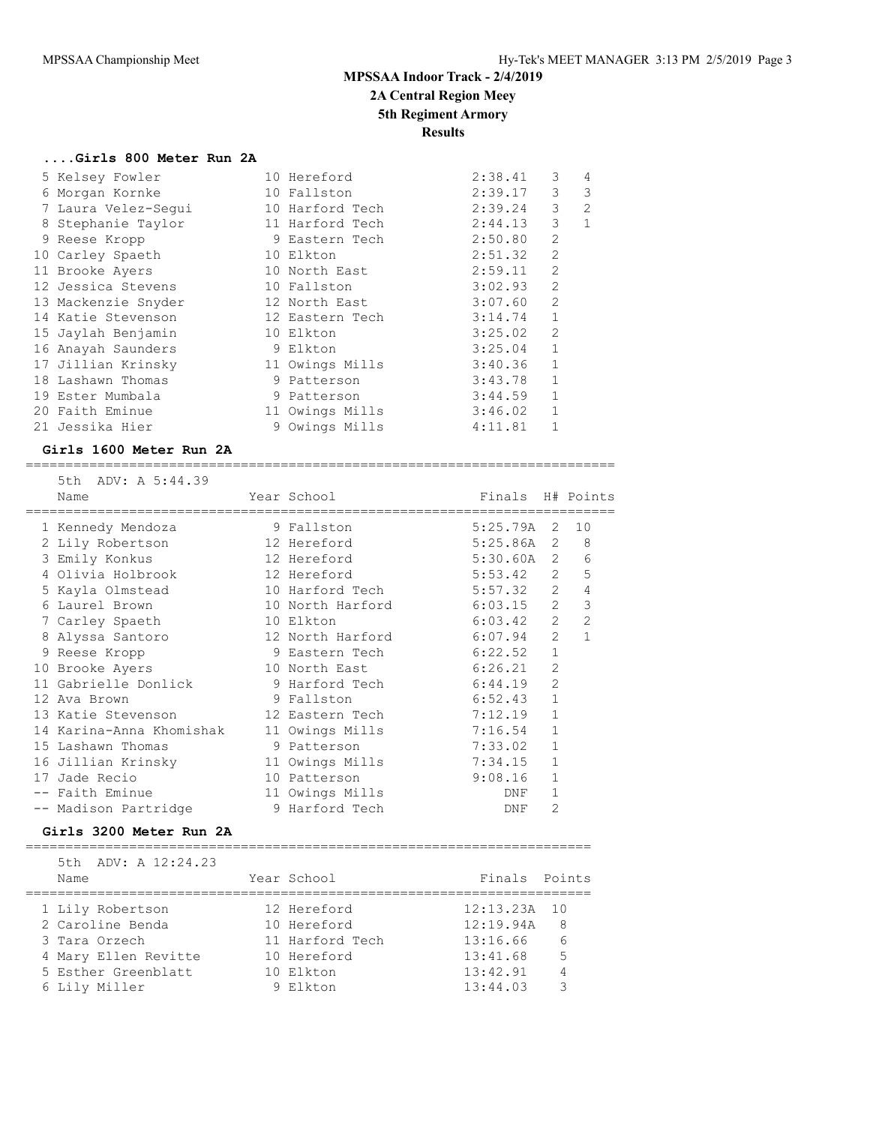**2A Central Region Meey**

### **5th Regiment Armory**

**Results**

### **....Girls 800 Meter Run 2A**

| 5 Kelsey Fowler     | 10 Hereford     | 2:38.41 | 3              | 4              |
|---------------------|-----------------|---------|----------------|----------------|
| 6 Morgan Kornke     | 10 Fallston     | 2:39.17 | 3              | 3              |
| 7 Laura Velez-Sequi | 10 Harford Tech | 2:39.24 | 3              | $\mathfrak{D}$ |
| 8 Stephanie Taylor  | 11 Harford Tech | 2:44.13 | 3              | $\mathbf{1}$   |
| 9 Reese Kropp       | 9 Eastern Tech  | 2:50.80 | 2              |                |
| 10 Carley Spaeth    | 10 Elkton       | 2:51.32 | 2              |                |
| 11 Brooke Ayers     | 10 North East   | 2:59.11 | 2              |                |
| 12 Jessica Stevens  | 10 Fallston     | 3:02.93 | $\overline{2}$ |                |
| 13 Mackenzie Snyder | 12 North East   | 3:07.60 | $\overline{2}$ |                |
| 14 Katie Stevenson  | 12 Eastern Tech | 3:14.74 | $\mathbf{1}$   |                |
| 15 Jaylah Benjamin  | 10 Elkton       | 3:25.02 | 2              |                |
| 16 Anayah Saunders  | 9 Elkton        | 3:25.04 | $\mathbf{1}$   |                |
| 17 Jillian Krinsky  | 11 Owings Mills | 3:40.36 | $\mathbf{1}$   |                |
| 18 Lashawn Thomas   | 9 Patterson     | 3:43.78 | $\mathbf{1}$   |                |
| 19 Ester Mumbala    | 9 Patterson     | 3:44.59 | $\mathbf{1}$   |                |
| 20 Faith Eminue     | 11 Owings Mills | 3:46.02 | $\mathbf{1}$   |                |
| 21 Jessika Hier     | 9 Owings Mills  | 4:11.81 |                |                |
|                     |                 |         |                |                |

### **Girls 1600 Meter Run 2A**

==========================================================================

| 5th ADV: A 5:44.39<br>Name             | Year School                       | Finals H# Points |                |                  |
|----------------------------------------|-----------------------------------|------------------|----------------|------------------|
| =================<br>1 Kennedy Mendoza | ;==================<br>9 Fallston | 5:25.79A 2 10    |                |                  |
| 2 Lily Robertson                       | 12 Hereford                       | $5:25.86A$ 2 8   |                |                  |
| 3 Emily Konkus                         | 12 Hereford                       | $5:30.60A$ 2     |                | 6                |
| 4 Olivia Holbrook                      | 12 Hereford                       | 5:53.42          |                | 5<br>$2^{\circ}$ |
| 5 Kayla Olmstead                       | 10 Harford Tech                   | $5:57.32$ 2      |                | $\overline{4}$   |
| 6 Laurel Brown                         | 10 North Harford 6:03.15 2        |                  |                | 3                |
| 7 Carley Spaeth                        | 10 Elkton                         | 6:03.42 2        |                | $\overline{2}$   |
| 8 Alyssa Santoro                       | 12 North Harford                  | 6:07.94          | 2              | $\mathbf{1}$     |
| 9 Reese Kropp                          | 9 Eastern Tech                    | 6:22.52          | $\mathbf{1}$   |                  |
| 10 Brooke Ayers                        | 10 North East                     | 6:26.21          | $\overline{2}$ |                  |
| 11 Gabrielle Donlick                   | 9 Harford Tech                    | 6:44.19          | $\overline{2}$ |                  |
| 12 Ava Brown                           | 9 Fallston                        | 6:52.43          | $\mathbf{1}$   |                  |
| 13 Katie Stevenson                     | 12 Eastern Tech                   | 7:12.19          | $\mathbf{1}$   |                  |
| 14 Karina-Anna Khomishak               | 11 Owings Mills                   | 7:16.54          | $\mathbf{1}$   |                  |
| 15 Lashawn Thomas                      | 9 Patterson                       | 7:33.02          | $\mathbf{1}$   |                  |
| 16 Jillian Krinsky                     | 11 Owings Mills                   | 7:34.15          | $\mathbf{1}$   |                  |
| 17 Jade Recio                          | 10 Patterson                      | 9:08.16          | 1              |                  |
| -- Faith Eminue                        | 11 Owings Mills                   | DNF              | 1              |                  |
| -- Madison Partridge                   | 9 Harford Tech                    | DNF              | $\overline{2}$ |                  |

### **Girls 3200 Meter Run 2A**

======================================================================= 5th ADV: A 12:24.23 Name Year School Finals Points ======================================================================= 1 Lily Robertson 12 Hereford 12:13.23A 10 2 Caroline Benda 10 Hereford 12:19.94A 8 3 Tara Orzech 11 Harford Tech 13:16.66 6 4 Mary Ellen Revitte 10 Hereford 13:41.68 5 5 Esther Greenblatt 10 Elkton 13:42.91 4 6 Lily Miller 9 Elkton 13:44.03 3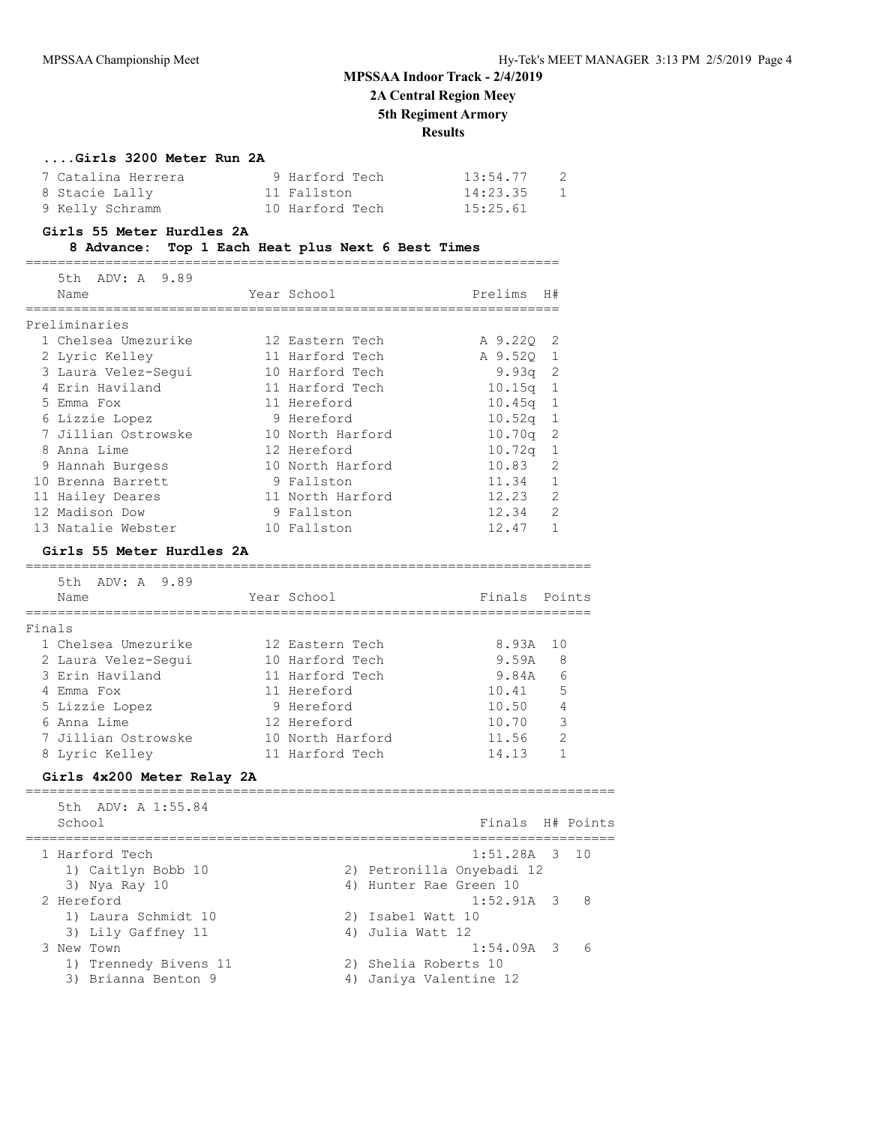**2A Central Region Meey**

### **5th Regiment Armory**

**Results**

### **....Girls 3200 Meter Run 2A**

| 7 Catalina Herrera | 9 Harford Tech  | 13:54.77 | $\overline{2}$ |
|--------------------|-----------------|----------|----------------|
| 8 Stacie Lally     | 11 Fallston     | 14:23.35 | 1              |
| 9 Kelly Schramm    | 10 Harford Tech | 15:25.61 |                |

#### **Girls 55 Meter Hurdles 2A**

### **8 Advance: Top 1 Each Heat plus Next 6 Best Times**

===================================================================

| 5th ADV: A 9.89     |                  |           |                            |
|---------------------|------------------|-----------|----------------------------|
| Name                | Year School      | Prelims   | H#                         |
|                     |                  |           |                            |
| Preliminaries       |                  |           |                            |
| 1 Chelsea Umezurike | 12 Eastern Tech  | A 9.220   | $\overline{\phantom{0}}^2$ |
| 2 Lyric Kelley      | 11 Harford Tech  | A 9.520   | - 1                        |
| 3 Laura Velez-Sequi | 10 Harford Tech  | $9.93q$ 2 |                            |
| 4 Erin Haviland     | 11 Harford Tech  | 10.15q    | $\overline{1}$             |
| 5 Emma Fox          | 11 Hereford      | 10.45q    | - 1                        |
| 6 Lizzie Lopez      | 9 Hereford       | 10.52q    | 1                          |
| 7 Jillian Ostrowske | 10 North Harford | 10.70q    | -2                         |
| 8 Anna Lime         | 12 Hereford      | 10.72q    | $\mathbf{1}$               |
| 9 Hannah Burgess    | 10 North Harford | 10.83     | $\mathcal{L}$              |
| 10 Brenna Barrett   | 9 Fallston       | 11.34     |                            |
| 11 Hailey Deares    | 11 North Harford | 12.23     | $\overline{2}$             |
| 12 Madison Dow      | 9 Fallston       | 12.34     | $\overline{2}$             |
| 13 Natalie Webster  | 10 Fallston      | 12.47     |                            |

### **Girls 55 Meter Hurdles 2A**

#### =======================================================================

|        | 5th ADV: A 9.89<br>Name | Year School      | Finals Points |                |
|--------|-------------------------|------------------|---------------|----------------|
| Finals |                         |                  |               |                |
|        | 1 Chelsea Umezurike     | 12 Eastern Tech  | 8.93A         | 10             |
|        | 2 Laura Velez-Sequi     | 10 Harford Tech  | 9.59A         | 8              |
|        | 3 Erin Haviland         | 11 Harford Tech  | 9.84A         | 6              |
|        | Emma Fox                | 11 Hereford      | 10.41         | 5              |
|        | 5 Lizzie Lopez          | 9 Hereford       | 10.50         | 4              |
|        | 6 Anna Lime             | 12 Hereford      | 10.70         | 3              |
|        | 7 Jillian Ostrowske     | 10 North Harford | 11.56         | $\overline{2}$ |
|        | 8 Lyric Kelley          | 11 Harford Tech  | 14.13         |                |

### **Girls 4x200 Meter Relay 2A**

| 5th ADV: A 1:55.84<br>School | Finals H# Points           |            |
|------------------------------|----------------------------|------------|
| 1 Harford Tech               | $1:51.28A$ 3 10            |            |
| 1) Caitlyn Bobb 10           | 2) Petronilla Onyebadi 12  |            |
| 3) Nya Ray 10                | 4) Hunter Rae Green 10     |            |
| 2 Hereford                   | $1:52.91A \quad 3 \quad 8$ |            |
| 1) Laura Schmidt 10          | 2) Isabel Watt 10          |            |
| 3) Lily Gaffney 11           | 4) Julia Watt 12           |            |
| 3 New Town                   | $1:54.09A$ 3               | $\epsilon$ |
| 1) Trennedy Bivens 11        | 2) Shelia Roberts 10       |            |
| Brianna Benton 9<br>3)       | - Janiya Valentine 12      |            |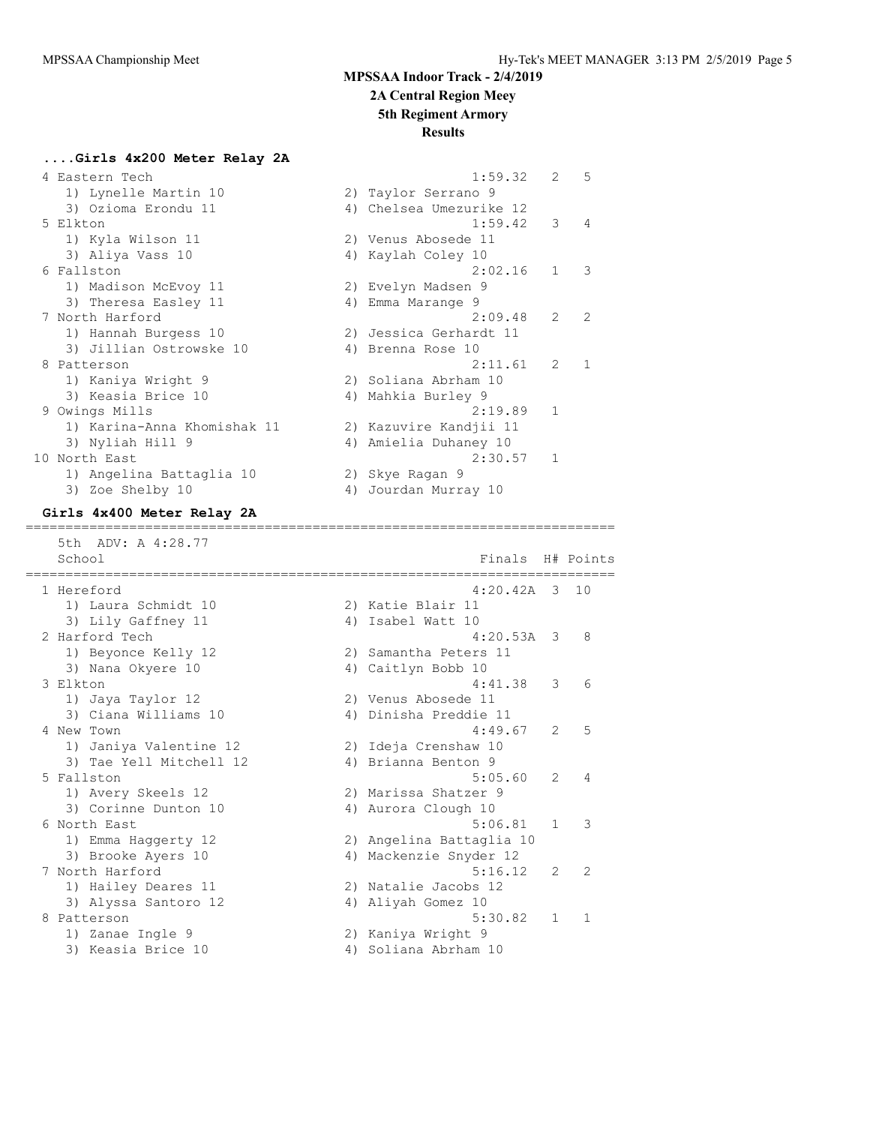**2A Central Region Meey**

### **5th Regiment Armory**

#### **Results**

### **....Girls 4x200 Meter Relay 2A**

| 4 Eastern Tech              | 1:59.32                 | $\overline{2}$ | - 5            |
|-----------------------------|-------------------------|----------------|----------------|
| 1) Lynelle Martin 10        | 2) Taylor Serrano 9     |                |                |
| 3) Ozioma Erondu 11         | 4) Chelsea Umezurike 12 |                |                |
| 5 Elkton                    | 1:59.42                 | 3              | $\overline{4}$ |
| 1) Kyla Wilson 11           | 2) Venus Abosede 11     |                |                |
| 3) Aliya Vass 10            | 4) Kaylah Coley 10      |                |                |
| 6 Fallston                  | 2:02.16                 | $\mathbf{1}$   | 3              |
| 1) Madison McEvoy 11        | 2) Evelyn Madsen 9      |                |                |
| 3) Theresa Easley 11        | 4) Emma Marange 9       |                |                |
| 7 North Harford             | 2:09.48                 | 2              | 2              |
| 1) Hannah Burgess 10        | 2) Jessica Gerhardt 11  |                |                |
| 3) Jillian Ostrowske 10     | 4) Brenna Rose 10       |                |                |
| 8 Patterson                 | 2:11.61                 | 2              | $\mathbf{1}$   |
| 1) Kaniya Wright 9          | 2) Soliana Abrham 10    |                |                |
| 3) Keasia Brice 10          | 4) Mahkia Burley 9      |                |                |
| 9 Owings Mills              | 2:19.89                 | $\mathbf{1}$   |                |
| 1) Karina-Anna Khomishak 11 | 2) Kazuvire Kandjii 11  |                |                |
| 3) Nyliah Hill 9            | 4) Amielia Duhaney 10   |                |                |
| 10 North East               | $2:30.57$ 1             |                |                |
| 1) Angelina Battaglia 10    | 2) Skye Ragan 9         |                |                |
| 3) Zoe Shelby 10            | 4) Jourdan Murray 10    |                |                |
|                             |                         |                |                |

#### **Girls 4x400 Meter Relay 2A**

 5th ADV: A 4:28.77 School **Finals H**# Points ========================================================================== 1 Hereford 4:20.42A 3 10 1) Laura Schmidt 10 2) Katie Blair 11 3) Lily Gaffney 11 4) Isabel Watt 10 2 Harford Tech 4:20.53A 3 8 1) Beyonce Kelly 12 2) Samantha Peters 11 3) Nana Okyere 10 4) Caitlyn Bobb 10 3 Elkton 4:41.38 3 6 1) Jaya Taylor 12 2) Venus Abosede 11 3) Ciana Williams 10 4) Dinisha Preddie 11 4 New Town 4:49.67 2 5 1) Janiya Valentine 12 2) Ideja Crenshaw 10 3) Tae Yell Mitchell 12 4) Brianna Benton 9 5 Fallston 5:05.60 2 4 1) Avery Skeels 12 2) Marissa Shatzer 9 3) Corinne Dunton 10 (4) Aurora Clough 10 6 North East 5:06.81 1 3 1) Emma Haggerty 12 2) Angelina Battaglia 10 3) Brooke Ayers 10 4) Mackenzie Snyder 12 7 North Harford 5:16.12 2 2 1) Hailey Deares 11 2) Natalie Jacobs 12 3) Alyssa Santoro 12 (4) Aliyah Gomez 10 8 Patterson 5:30.82 1 1 1) Zanae Ingle 9 2) Kaniya Wright 9

==========================================================================

3) Keasia Brice 10 (4) 4 4 Andram 10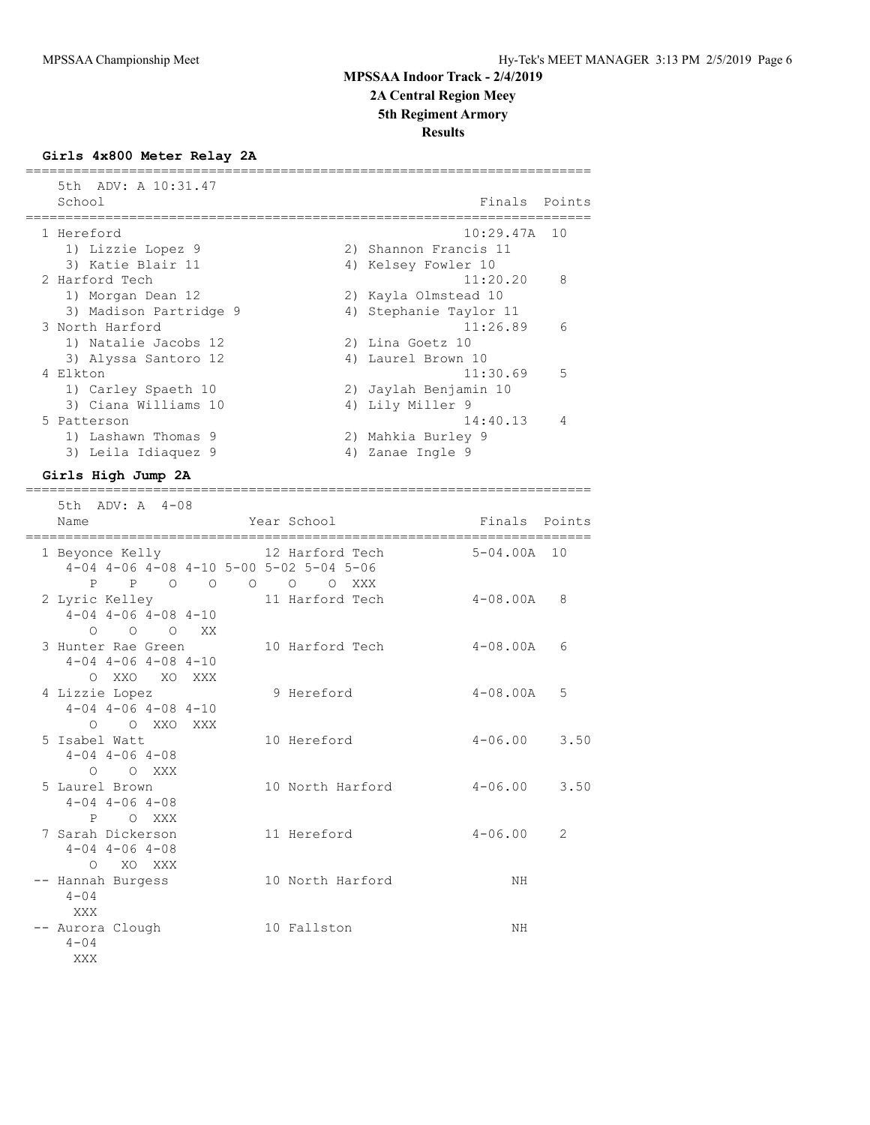**2A Central Region Meey**

# **5th Regiment Armory**

**Results**

#### **Girls 4x800 Meter Relay 2A** =======================================================================

 5th ADV: A 10:31.47 School **Finals** Points ======================================================================= 1 Hereford 10:29.47A 10 1) Lizzie Lopez 9 2) Shannon Francis 11 3) Katie Blair 11 1 4) Kelsey Fowler 10 2 Harford Tech 11:20.20 8 1) Morgan Dean 12 2) Kayla Olmstead 10 3) Madison Partridge 9 4) Stephanie Taylor 11 3 North Harford 11:26.89 6 1) Natalie Jacobs 12 2) Lina Goetz 10 3) Alyssa Santoro 12 (4) Laurel Brown 10 4 Elkton 5 and 5 and 5 and 5 and 5 and 5 and 5 and 5 and 5 and 5 and 5 and 5 and 5 and 5 and 5 and 5 and 5 and 5 and 5 and 5 and 5 and 5 and 5 and 5 and 5 and 5 and 5 and 5 and 5 and 5 and 5 and 5 and 5 and 5 and 5 and 5 a 1) Carley Spaeth 10 2) Jaylah Benjamin 10 3) Ciana Williams 10  $\hskip1cm$  4) Lily Miller 9 5 Patterson 14:40.13 4 1) Lashawn Thomas 9 2) Mahkia Burley 9 3) Leila Idiaquez 9  $\hskip1cm$  4) Zanae Ingle 9

=======================================================================

### **Girls High Jump 2A**

| 5th ADV: A 4-08<br>Name                                                                    | Year School      | Finals Points       |
|--------------------------------------------------------------------------------------------|------------------|---------------------|
| 1 Beyonce Kelly 12 Harford Tech<br>$4-04$ $4-06$ $4-08$ $4-10$ $5-00$ $5-02$ $5-04$ $5-06$ |                  | $5-04.00A$ 10       |
| P<br>POOOOOOXXX<br>2 Lyric Kelley<br>$4-04$ $4-06$ $4-08$ $4-10$                           | 11 Harford Tech  | 4-08.00A<br>8       |
| $0\qquad 0\qquad 0$ XX<br>3 Hunter Rae Green<br>$4-04$ $4-06$ $4-08$ $4-10$                | 10 Harford Tech  | 4-08.00A<br>6       |
| O XXO XO XXX<br>4 Lizzie Lopez<br>$4-04$ $4-06$ $4-08$ $4-10$                              | 9 Hereford       | $4 - 08.00A$<br>5   |
| $\bigcap$<br>O XXO XXX<br>5 Isabel Watt<br>$4 - 04$ $4 - 06$ $4 - 08$                      | 10 Hereford      | 3.50<br>$4 - 06.00$ |
| $O$ $O$ XXX<br>5 Laurel Brown<br>$4 - 04$ $4 - 06$ $4 - 08$                                | 10 North Harford | 3.50<br>$4 - 06.00$ |
| P O XXX<br>7 Sarah Dickerson<br>$4 - 04$ $4 - 06$ $4 - 08$                                 | 11 Hereford      | $4 - 06.00$<br>2    |
| O XO XXX<br>-- Hannah Burgess<br>$4 - 04$                                                  | 10 North Harford | NH                  |
| XXX<br>-- Aurora Clough<br>$4 - 04$<br>XXX                                                 | 10 Fallston      | NH                  |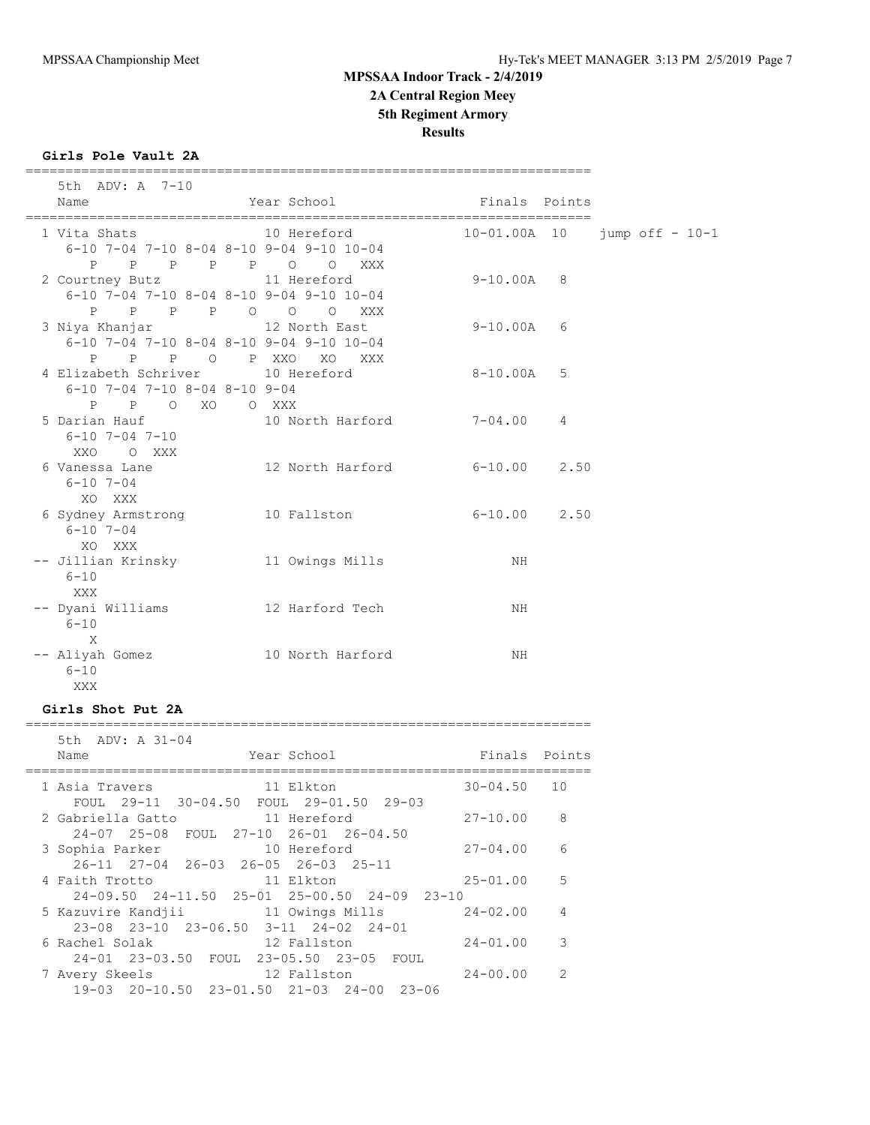**2A Central Region Meey**

#### **5th Regiment Armory**

**Results**

#### **Girls Pole Vault 2A**

 5th ADV: A 7-10 Name **The Year School** Team Points Points ======================================================================= 1 Vita Shats 10 Hereford 10-01.00A 10 jump off - 10-1 6-10 7-04 7-10 8-04 8-10 9-04 9-10 10-04 P P P P P O O XXX 2 Courtney Butz 11 Hereford 9-10.00A 8 6-10 7-04 7-10 8-04 8-10 9-04 9-10 10-04 P P P P O O O XXX 3 Niya Khanjar 12 North East 9-10.00A 6 6-10 7-04 7-10 8-04 8-10 9-04 9-10 10-04 P P P O P XXO XO XXX 4 Elizabeth Schriver 10 Hereford 8-10.00A 5 6-10 7-04 7-10 8-04 8-10 9-04 P P O XO O XXX 5 Darian Hauf 10 North Harford 7-04.00 4 6-10 7-04 7-10 XXO O XXX 6 Vanessa Lane 12 North Harford 6-10.00 2.50  $6-10$   $7-04$  XO XXX 6 Sydney Armstrong 10 Fallston 6-10.00 2.50 6-10 7-04 XO XXX -- Jillian Krinsky 11 Owings Mills NH 6-10 XXX -- Dyani Williams 12 Harford Tech NH  $6 - 10$  X -- Aliyah Gomez 10 North Harford NH 6-10 XXX **Girls Shot Put 2A**

=======================================================================

#### =======================================================================

| 5th ADV: A 31-04                                                                        |                 |                |
|-----------------------------------------------------------------------------------------|-----------------|----------------|
| Year School<br>Name                                                                     | Finals Points   |                |
| 11 Elkton<br>1 Asia Travers<br>FOUL 29-11 30-04.50 FOUL 29-01.50 29-03                  | $30 - 04.50$ 10 |                |
| 2 Gabriella Gatto<br>11 Hereford<br>24-07 25-08 FOUL 27-10 26-01 26-04.50               | $27 - 10.00$ 8  |                |
| 3 Sophia Parker 10 Hereford<br>26-11 27-04 26-03 26-05 26-03 25-11                      | $27 - 04.00$    | 6              |
| 4 Faith Trotto<br>11 Elkton<br>$24-09.50$ $24-11.50$ $25-01$ $25-00.50$ $24-09$ $23-10$ | $25 - 01.00$    | $5^{\circ}$    |
| 5 Kazuvire Kandjii 11 Owings Mills 24-02.00<br>23-08 23-10 23-06.50 3-11 24-02 24-01    |                 | $\overline{4}$ |
| 12 Fallston<br>6 Rachel Solak<br>24-01 23-03.50 FOUL 23-05.50 23-05 FOUL                | $24 - 01.00$    | 3              |
| 12 Fallston<br>7 Avery Skeels<br>19-03 20-10.50 23-01.50 21-03 24-00 23-06              | $24 - 00.00$    | 2              |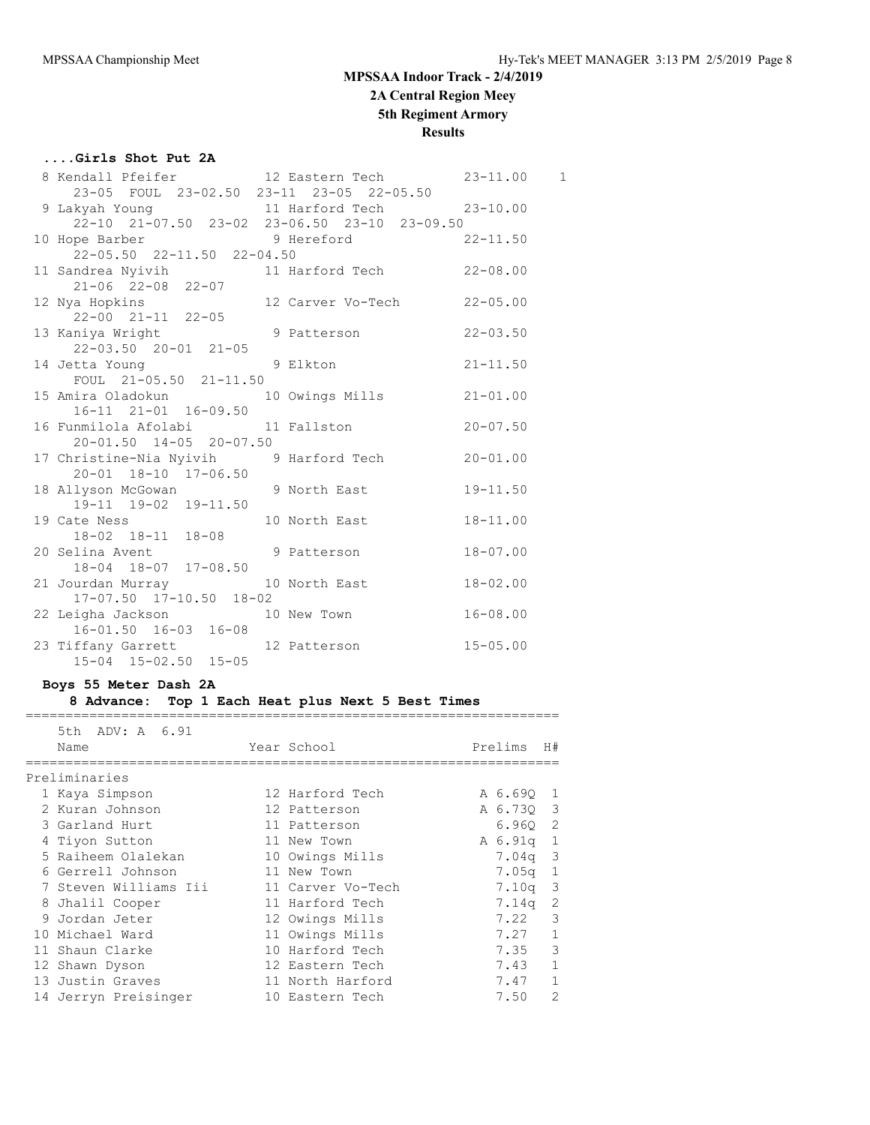# **MPSSAA Indoor Track - 2/4/2019 2A Central Region Meey 5th Regiment Armory**

### **Results**

# **....Girls Shot Put 2A**

|  | 8 Kendall Pfeifer 12 Eastern Tech 23-11.00 1                                            |                   |  |
|--|-----------------------------------------------------------------------------------------|-------------------|--|
|  | 23-05 FOUL 23-02.50 23-11 23-05 22-05.50                                                |                   |  |
|  | 9 Lakyah Young 11 Harford Tech 23-10.00<br>22-10 21-07.50 23-02 23-06.50 23-10 23-09.50 |                   |  |
|  |                                                                                         |                   |  |
|  | 10 Hope Barber 9 Hereford 22-11.50                                                      |                   |  |
|  | 22-05.50 22-11.50 22-04.50                                                              |                   |  |
|  | 11 Sandrea Nyivih 11 Harford Tech 22-08.00                                              |                   |  |
|  | 21-06 22-08 22-07                                                                       |                   |  |
|  | 12 Nya Hopkins 12 Carver Vo-Tech 22-05.00<br>22-00 21-11 22-05                          |                   |  |
|  |                                                                                         |                   |  |
|  | 13 Kaniya Wright 12 CO 3 Patterson 22-03.50                                             |                   |  |
|  | $22 - 03.50$ $20 - 01$ $21 - 05$                                                        |                   |  |
|  | 14 Jetta Young                                                                          | 9 Elkton 21-11.50 |  |
|  | FOUL $21-05.50$ $21-11.50$                                                              |                   |  |
|  | 15 Amira Oladokun 10 Owings Mills 21-01.00                                              |                   |  |
|  | $16-11$ $21-01$ $16-09.50$                                                              |                   |  |
|  |                                                                                         |                   |  |
|  | $20 - 01.50$ $14 - 05$ $20 - 07.50$                                                     |                   |  |
|  | 17 Christine-Nia Nyivih 9 Harford Tech 20-01.00                                         |                   |  |
|  | 20-01 18-10 17-06.50                                                                    |                   |  |
|  | 18 Allyson McGowan 9 North East 19-11.50                                                |                   |  |
|  | 19-11 19-02 19-11.50<br>19 Cate Ness 10 North East 18-11.00                             |                   |  |
|  | 18-02 18-11 18-08                                                                       |                   |  |
|  | 20 Selina Avent 9 Patterson 18-07.00                                                    |                   |  |
|  | 18-04 18-07 17-08.50                                                                    |                   |  |
|  | 21 Jourdan Murray 10 North East 18-02.00                                                |                   |  |
|  | 17-07.50 17-10.50 18-02                                                                 |                   |  |
|  | 22 Leigha Jackson 10 New Town 16-08.00                                                  |                   |  |
|  | $16 - 01.50$ $16 - 03$ $16 - 08$                                                        |                   |  |
|  |                                                                                         |                   |  |
|  | 23 Tiffany Garrett 12 Patterson 15-05.00<br>15-04 15-02.50 15-05                        |                   |  |
|  |                                                                                         |                   |  |

### **Boys 55 Meter Dash 2A**

#### **8 Advance: Top 1 Each Heat plus Next 5 Best Times** ===================================================================

| 5th ADV: A 6.91       |                   |           |               |
|-----------------------|-------------------|-----------|---------------|
| Name                  | Year School       | Prelims   | H#            |
|                       |                   |           |               |
| Preliminaries         |                   |           |               |
| 1 Kaya Simpson        | 12 Harford Tech   | A 6.690 1 |               |
| 2 Kuran Johnson       | 12 Patterson      | A 6.73Q 3 |               |
| 3 Garland Hurt        | 11 Patterson      | 6.960 2   |               |
| 4 Tiyon Sutton        | 11 New Town       | A 6.91q 1 |               |
| 5 Raiheem Olalekan    | 10 Owings Mills   | $7.04q$ 3 |               |
| 6 Gerrell Johnson     | 11 New Town       | 7.05a     | $\mathbf{1}$  |
| 7 Steven Williams Iii | 11 Carver Vo-Tech | $7.10q$ 3 |               |
| 8 Jhalil Cooper       | 11 Harford Tech   | 7.14q     | -2            |
| 9 Jordan Jeter        | 12 Owings Mills   | 7.22      | 3             |
| 10 Michael Ward       | 11 Owings Mills   | 7.27      | $\mathbf{1}$  |
| 11 Shaun Clarke       | 10 Harford Tech   | 7.35      | 3             |
| 12 Shawn Dyson        | 12 Eastern Tech   | 7.43      | $\mathbf{1}$  |
| 13 Justin Graves      | 11 North Harford  | 7.47      | $\mathbf{1}$  |
| 14 Jerryn Preisinger  | 10 Eastern Tech   | 7.50      | $\mathcal{L}$ |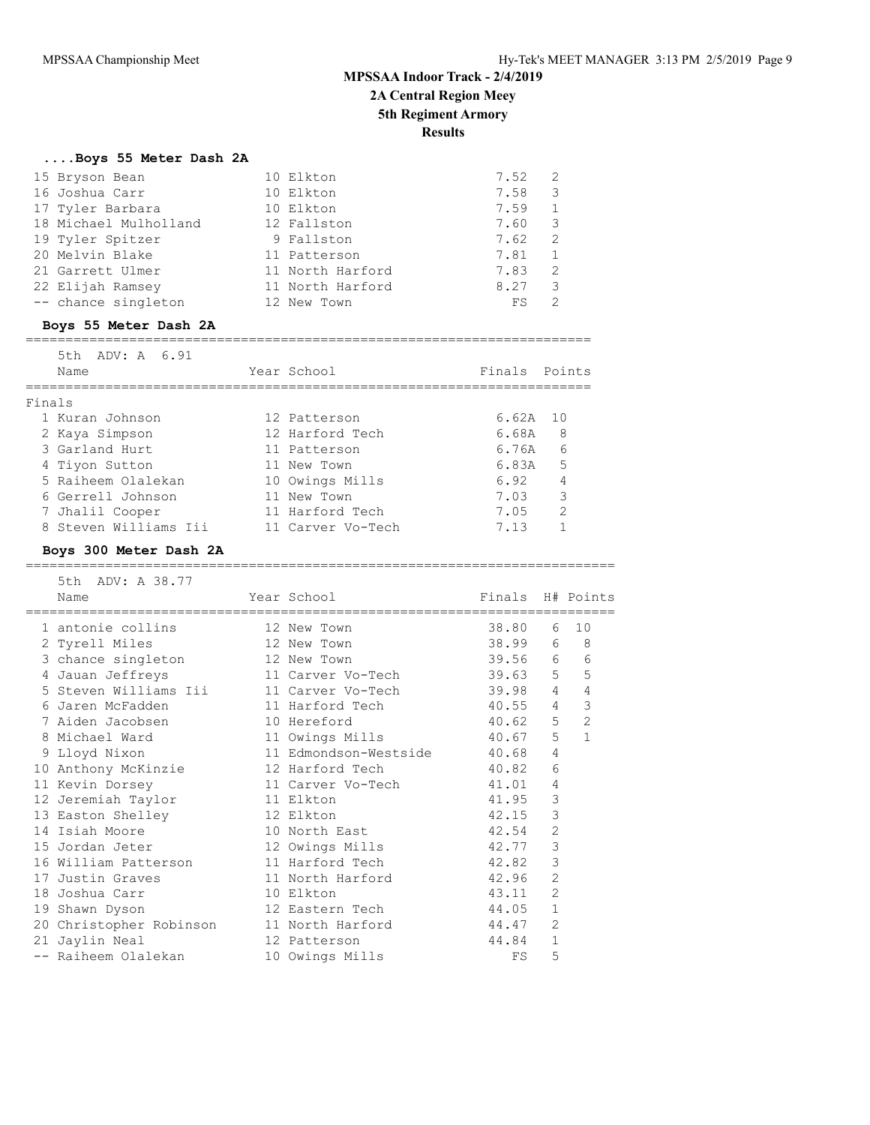**2A Central Region Meey**

# **5th Regiment Armory**

**Results**

### **....Boys 55 Meter Dash 2A**

| 15 Bryson Bean        | 10 Elkton        | 7.52 | -2            |
|-----------------------|------------------|------|---------------|
| 16 Joshua Carr        | 10 Elkton        | 7.58 | 3             |
| 17 Tyler Barbara      | 10 Elkton        | 7.59 |               |
| 18 Michael Mulholland | 12 Fallston      | 7.60 | 3             |
| 19 Tyler Spitzer      | 9 Fallston       | 7.62 | 2             |
| 20 Melvin Blake       | 11 Patterson     | 7.81 |               |
| 21 Garrett Ulmer      | 11 North Harford | 7.83 | $\mathcal{L}$ |
| 22 Elijah Ramsey      | 11 North Harford | 8.27 | 3             |
| -- chance singleton   | 12 New Town      | FS   | 2             |

### **Boys 55 Meter Dash 2A**

#### ======================================================================= 5th ADV: A 6.91

|        | - 11 PV • 11 - V • J + |                   |               |   |
|--------|------------------------|-------------------|---------------|---|
|        | Name                   | Year School       | Finals Points |   |
|        |                        |                   |               |   |
| Finals |                        |                   |               |   |
|        | 1 Kuran Johnson        | 12 Patterson      | $6.62A$ 10    |   |
|        | 2 Kaya Simpson         | 12 Harford Tech   | 6.68A         | 8 |
|        | 3 Garland Hurt         | 11 Patterson      | 6.76A         | 6 |
|        | 4 Tiyon Sutton         | 11 New Town       | 6.83A         | 5 |
|        | 5 Raiheem Olalekan     | 10 Owings Mills   | 6.92          | 4 |
|        | 6 Gerrell Johnson      | 11 New Town       | 7.03          | 3 |
|        | 7 Jhalil Cooper        | 11 Harford Tech   | 7.05          | 2 |
|        | 8 Steven Williams Iii  | 11 Carver Vo-Tech | 7.13          |   |

### **Boys 300 Meter Dash 2A**

| 5th ADV: A 38.77                                         |                                          |                  |                |                |
|----------------------------------------------------------|------------------------------------------|------------------|----------------|----------------|
| Name                                                     | Year School                              | Finals H# Points |                |                |
| ===================================<br>1 antonie collins | =========================<br>12 New Town | 38.80            | 6              | 10             |
|                                                          | 12 New Town                              | 38.99            |                | 6 8            |
| 2 Tyrell Miles                                           |                                          |                  |                |                |
| 3 chance singleton                                       | 12 New Town                              | 39.56 6          |                | 6              |
| 4 Jauan Jeffreys                                         | 11 Carver Vo-Tech                        | 39.63 5          |                | 5              |
| 5 Steven Williams Iii                                    | 11 Carver Vo-Tech                        | 39.98            | $\overline{4}$ | $\overline{4}$ |
| 6 Jaren McFadden                                         | 11 Harford Tech 40.55                    |                  | $\overline{4}$ | $\mathcal{S}$  |
| 7 Aiden Jacobsen                                         | 10 Hereford                              | 40.62            | 5              | $\overline{2}$ |
| 8 Michael Ward Sand                                      | 11 Owings Mills                          | 40.67 5          |                | $\mathbf{1}$   |
| 9 Lloyd Nixon                                            | 11 Edmondson-Westside 40.68              |                  | $\overline{4}$ |                |
| 10 Anthony McKinzie                                      | 12 Harford Tech 40.82                    |                  | 6              |                |
| 11 Kevin Dorsey                                          | 11 Carver Vo-Tech 41.01                  |                  | 4              |                |
| 12 Jeremiah Taylor                                       | 11 Elkton                                | 41.95            | 3              |                |
| 13 Easton Shelley                                        | 12 Elkton                                | 42.15            | 3              |                |
| 14 Isiah Moore                                           | 10 North East                            | 42.54            | $\overline{2}$ |                |
| 15 Jordan Jeter                                          | 12 Owings Mills                          | 42.77            | 3              |                |
| 16 William Patterson                                     | 11 Harford Tech                          | 42.82            | 3              |                |
| 17 Justin Graves                                         | 11 North Harford                         | 42.96            | $\overline{2}$ |                |
| 18 Joshua Carr                                           | 10 Elkton                                | 43.11            | $\overline{2}$ |                |
| 19 Shawn Dyson                                           | 12 Eastern Tech                          | 44.05            | $\mathbf{1}$   |                |
| 20 Christopher Robinson                                  | 11 North Harford                         | 44.47            | $\overline{2}$ |                |
| 21 Jaylin Neal                                           | 12 Patterson                             | 44.84            | $\mathbf{1}$   |                |
| -- Raiheem Olalekan                                      | 10 Owings Mills                          | FS               | 5              |                |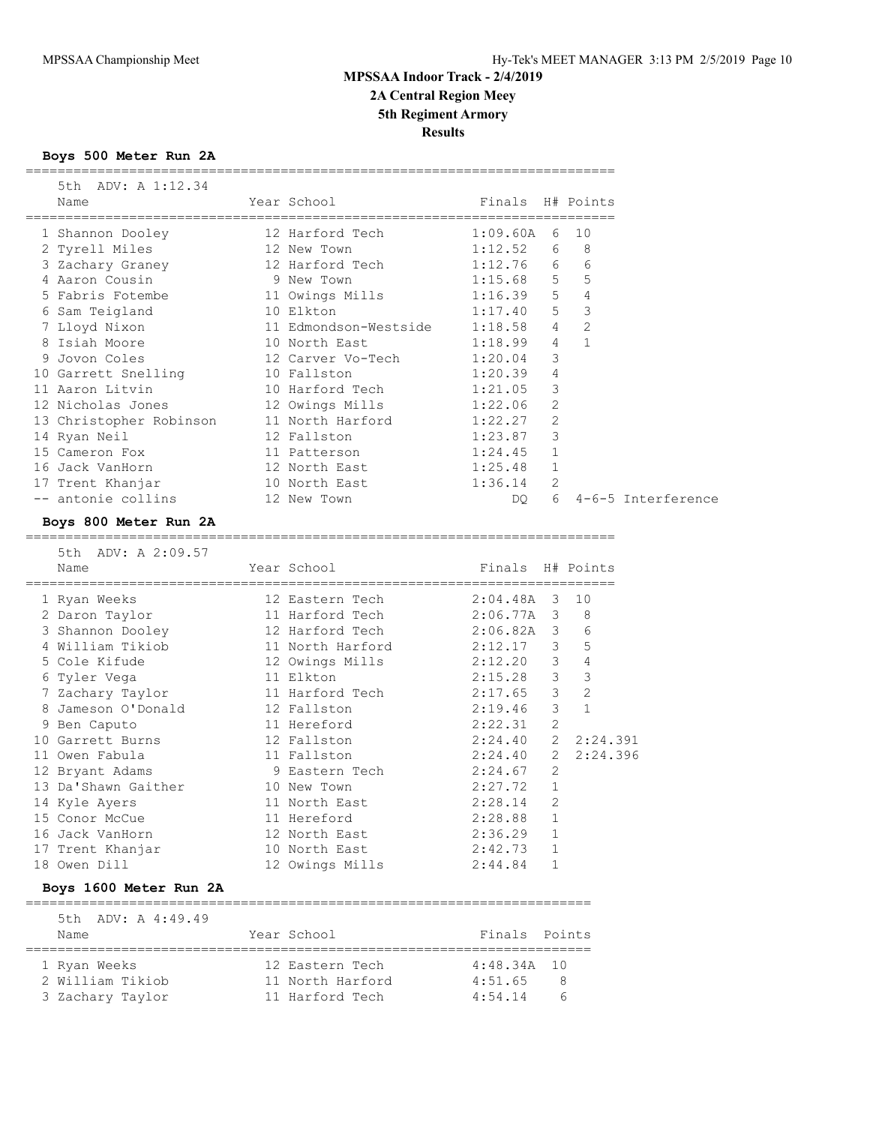# **MPSSAA Indoor Track - 2/4/2019 2A Central Region Meey 5th Regiment Armory**

**Results**

**Boys 500 Meter Run 2A**

| 5th ADV: A 1:12.34<br>Name                                       | Year School                                                   | Finals H# Points               |              |                |                         |
|------------------------------------------------------------------|---------------------------------------------------------------|--------------------------------|--------------|----------------|-------------------------|
| 1 Shannon Dooley                                                 | 12 Harford Tech                                               | $1:09.60A$ 6 10                |              |                |                         |
| 2 Tyrell Miles                                                   |                                                               |                                |              |                |                         |
| 3 Zachary Graney                                                 | 12 New Town<br>12 Harford Tech                                | $1:12.52$ 6 8<br>$1:12.76$ 6 6 |              |                |                         |
| 4 Aaron Cousin                                                   | 9 New Town                                                    | $1:15.68$ 5 5                  |              |                |                         |
| 5 Fabris Fotembe                                                 | 11 Owings Mills<br>10 Elkton                                  | $1:16.39$ 5 4                  |              |                |                         |
| 6 Sam Teigland                                                   |                                                               | 1:17.40 5 3                    |              |                |                         |
| 7 Lloyd Nixon 11 Edmondson-Westside 1:18.58 4 2                  |                                                               |                                |              |                |                         |
| 8 Isiah Moore<br>2 Isiah Moore                                   | 10 North East                                                 | $1:18.99$ 4                    |              | $\overline{1}$ |                         |
|                                                                  | 10 North 2000.<br>12 Carver Vo-Tech                           | $1:20.04$ 3                    |              |                |                         |
| 10 Garrett Snelling 10 Fallston                                  |                                                               | 1:20.39 4                      |              |                |                         |
| 11 Aaron Litvin                                                  | 10 Harford Tech 1:21.05 3<br>12 Owings Mills 1:22.06 2        |                                |              |                |                         |
| 12 Nicholas Jones                                                |                                                               |                                |              |                |                         |
| 13 Christopher Robinson 11 North Harford 1:22.27 2               |                                                               |                                |              |                |                         |
| 14 Ryan Neil                                                     | 12 Fallston                                                   | $1:23.87$ 3                    |              |                |                         |
| 15 Cameron Fox                                                   | 12 railscon<br>11 Patterson                                   | $1:24.45$ 1                    |              |                |                         |
| 16 Jack VanHorn                                                  | 12 North East<br>10 North Bast                                | $1:25.48$ 1                    |              |                |                         |
| 17 Trent Khanjar 10 North East<br>-- antonie collins 12 New Town |                                                               | $1:36.14$ 2                    |              |                |                         |
|                                                                  |                                                               |                                |              |                | DQ 6 4-6-5 Interference |
| Boys 800 Meter Run 2A                                            |                                                               |                                |              |                |                         |
| 5th ADV: A 2:09.57                                               |                                                               |                                |              |                |                         |
| Name                                                             | Year School                                                   | Finals H# Points               |              |                |                         |
| 1 Ryan Weeks                                                     |                                                               |                                |              |                |                         |
| 2 Daron Taylor                                                   | 12 Eastern Tech 2:04.48A 3 10<br>11 Harford Tech 2:06.77A 3 8 |                                |              |                |                         |
| 3 Shannon Dooley 12 Harford Tech 2:06.82A 3 6                    |                                                               |                                |              |                |                         |
| 4 William Tikiob                                                 |                                                               |                                |              |                |                         |
| 5 Cole Kifude                                                    | 11 North Harford<br>12 Owings Mills                           | $2:12.17$ 3 5<br>$2:12.20$ 3 4 |              |                |                         |
| 6 Tyler Vega                                                     | 11 Elkton                                                     | $2:15.28$ 3 3                  |              |                |                         |
|                                                                  | 11 Harford Tech                                               | $2:17.65$ 3 2<br>$2:19.46$ 3 1 |              |                |                         |
| 7 Zachary Taylor<br>8 Jameson O'Donald                           | 11 nailviu 1998.<br>12 Fallston                               |                                |              |                |                         |
| 9 Ben Caputo                                                     | 11 Hereford 2:22.31 2                                         |                                |              |                |                         |
| 10 Garrett Burns                                                 |                                                               | 2:24.40                        |              | 2 2:24.391     |                         |
| 11 Owen Fabula                                                   | 12 Fallston<br>11 Fallston                                    | 2:24.40 2                      |              | 2:24.396       |                         |
| 12 Bryant Adams                                                  | 9 Eastern Tech 2:24.67 2                                      |                                |              |                |                         |
| 13 Da'Shawn Gaither                                              | 10 New Town                                                   | 2:27.72 1                      |              |                |                         |
| 14 Kyle Ayers                                                    | 10 North East                                                 | $2:28.14$ 2                    |              |                |                         |
| 15 Conor McCue                                                   | 11 Hereford                                                   | 2:28.88 1                      |              |                |                         |
| 16 Jack VanHorn                                                  | 12 North East                                                 | $2:36.29$ 1                    |              |                |                         |
| 17 Trent Khanjar                                                 | 10 North East                                                 | 2:42.73                        | 1            |                |                         |
| 18 Owen Dill                                                     | 12 Owings Mills                                               | 2:44.84                        | $\mathbf{1}$ |                |                         |

**Boys 1600 Meter Run 2A**

 5th ADV: A 4:49.49 Name The Year School The Finals Points ======================================================================= 1 Ryan Weeks 12 Eastern Tech 4:48.34A 10 2 William Tikiob 11 North Harford 4:51.65 8 3 Zachary Taylor 11 Harford Tech 4:54.14 6

=======================================================================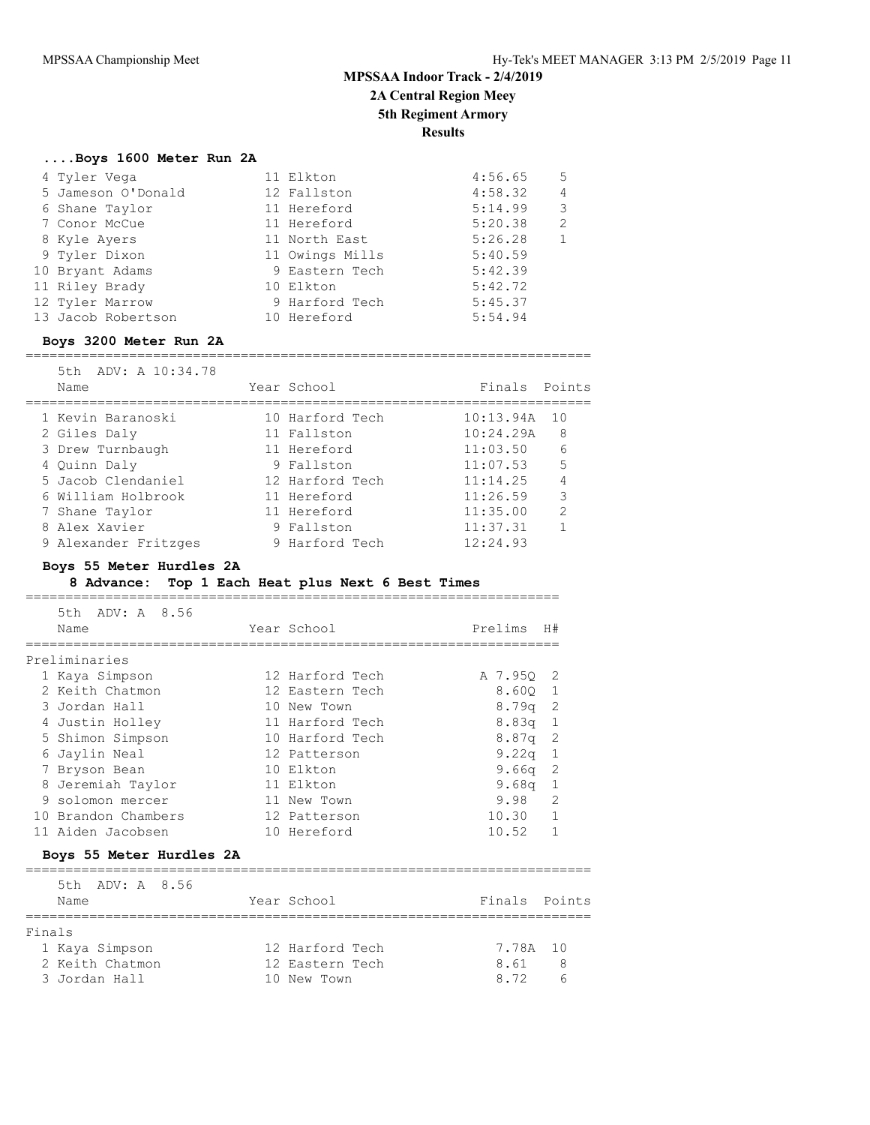**2A Central Region Meey 5th Regiment Armory**

**Results**

### **....Boys 1600 Meter Run 2A**

| 4 Tyler Vega       | 11 Elkton       | 4:56.65 | 5 |
|--------------------|-----------------|---------|---|
| 5 Jameson O'Donald | 12 Fallston     | 4:58.32 | 4 |
| 6 Shane Taylor     | 11 Hereford     | 5:14.99 | 3 |
| 7 Conor McCue      | 11 Hereford     | 5:20.38 | 2 |
| 8 Kyle Ayers       | 11 North East   | 5:26.28 |   |
| 9 Tyler Dixon      | 11 Owings Mills | 5:40.59 |   |
| 10 Bryant Adams    | 9 Eastern Tech  | 5:42.39 |   |
| 11 Riley Brady     | 10 Elkton       | 5:42.72 |   |
| 12 Tyler Marrow    | 9 Harford Tech  | 5:45.37 |   |
| 13 Jacob Robertson | 10 Hereford     | 5:54.94 |   |
|                    |                 |         |   |

### **Boys 3200 Meter Run 2A**

=======================================================================

| 5th ADV: A 10:34.78<br>Name | Year School     | Finals Points |                |
|-----------------------------|-----------------|---------------|----------------|
| 1 Kevin Baranoski           | 10 Harford Tech | 10:13.94A     | 10             |
| 2 Giles Daly                | 11 Fallston     | 10:24.29A     | -8             |
| 3 Drew Turnbaugh            | 11 Hereford     | 11:03.50      | 6              |
| 4 Quinn Daly                | 9 Fallston      | 11:07.53      | 5              |
| 5 Jacob Clendaniel          | 12 Harford Tech | 11:14.25      | 4              |
| 6 William Holbrook          | 11 Hereford     | 11:26.59      | 3              |
| 7 Shane Taylor              | 11 Hereford     | 11:35.00      | $\overline{2}$ |
| 8 Alex Xavier               | 9 Fallston      | 11:37.31      |                |
| 9 Alexander Fritzges        | 9 Harford Tech  | 12:24.93      |                |

### **Boys 55 Meter Hurdles 2A**

### **8 Advance: Top 1 Each Heat plus Next 6 Best Times**

===================================================================

| 5th ADV: A 8.56<br>Name | Year School     | Prelims           | H#                         |
|-------------------------|-----------------|-------------------|----------------------------|
| Preliminaries           |                 |                   |                            |
| 1 Kaya Simpson          | 12 Harford Tech | A 7.950 2         |                            |
| 2 Keith Chatmon         | 12 Eastern Tech | 8.600 1           |                            |
| 3 Jordan Hall           | 10 New Town     | $8.79q$ 2         |                            |
| 4 Justin Holley         | 11 Harford Tech | $8.83q$ 1         |                            |
| 5 Shimon Simpson        | 10 Harford Tech | $8.87q$ 2         |                            |
| 6 Jaylin Neal           | 12 Patterson    | 9.22 <sub>q</sub> | $\overline{1}$             |
| 7 Bryson Bean           | 10 Elkton       | 9.66q             | $\overline{\phantom{0}}^2$ |
| 8 Jeremiah Taylor       | 11 Elkton       | 9.68 <sub>q</sub> | -1                         |
| 9 solomon mercer        | 11 New Town     | 9.98              | $\mathcal{L}$              |
| 10 Brandon Chambers     | 12 Patterson    | 10.30             |                            |
| 11 Aiden Jacobsen       | 10 Hereford     | 10.52             |                            |

### **Boys 55 Meter Hurdles 2A**

|        | 5th ADV: A 8.56<br>Name | Year School     | Finals Points |                |
|--------|-------------------------|-----------------|---------------|----------------|
| Finals |                         |                 |               |                |
|        | 1 Kaya Simpson          | 12 Harford Tech | 7.78A 10      |                |
|        | 2 Keith Chatmon         | 12 Eastern Tech | 8.61          | -8             |
|        | 3 Jordan Hall           | 10 New Town     | 8 72          | $\overline{6}$ |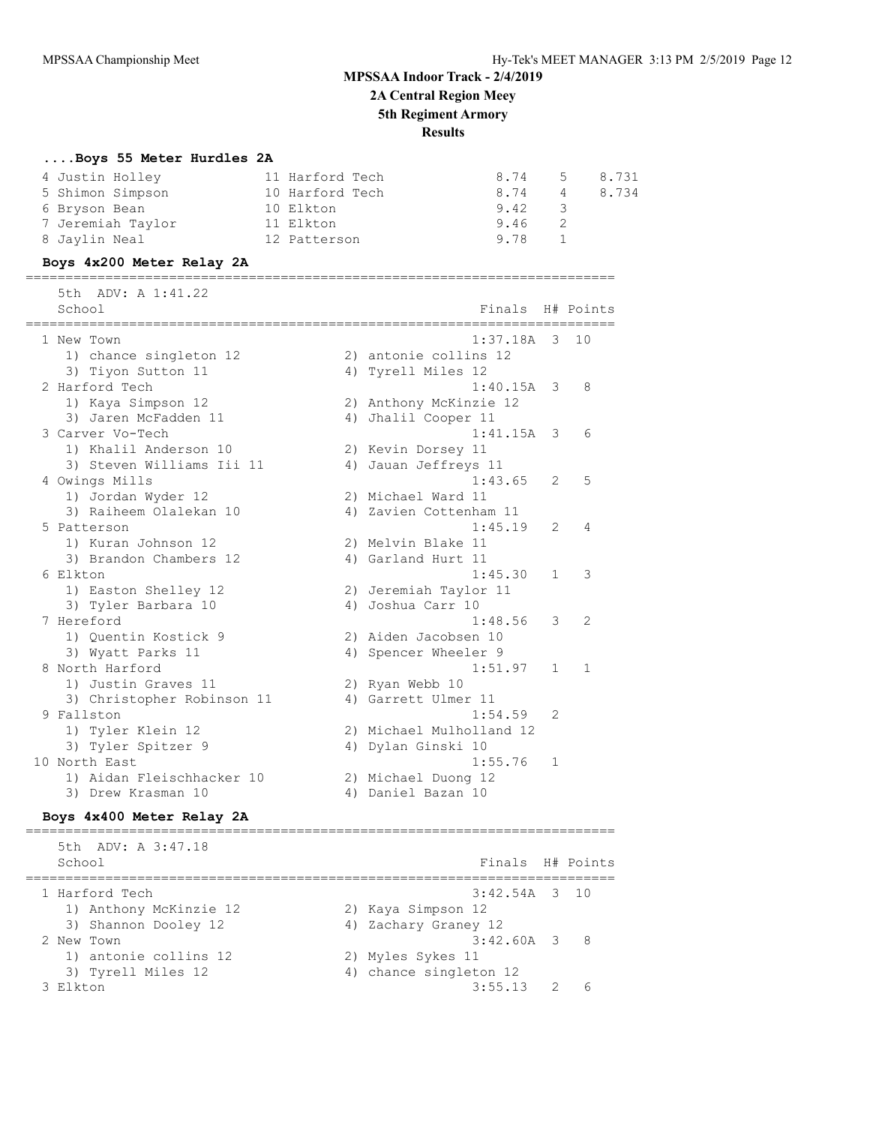# **MPSSAA Indoor Track - 2/4/2019 2A Central Region Meey 5th Regiment Armory Results**

### **....Boys 55 Meter Hurdles 2A**

| 4 Justin Holley   | 11 Harford Tech | 8.74   |                | 5 8.731 |
|-------------------|-----------------|--------|----------------|---------|
| 5 Shimon Simpson  | 10 Harford Tech | 8.74   | 4              | 8.734   |
| 6 Bryson Bean     | 10 Elkton       | 9.42 3 |                |         |
| 7 Jeremiah Taylor | 11 Elkton       | 9.46   | $\overline{2}$ |         |
| 8 Jaylin Neal     | 12 Patterson    | 9.78 1 |                |         |

#### **Boys 4x200 Meter Relay 2A**

| =================            | ==================================== |                          |              |
|------------------------------|--------------------------------------|--------------------------|--------------|
| 5th ADV: A 1:41.22<br>School | Finals                               |                          | H# Points    |
| 1 New Town                   | 1:37.18A                             | $\overline{\mathbf{3}}$  | 10           |
| 1) chance singleton 12       | 2) antonie collins 12                |                          |              |
| 3) Tiyon Sutton 11           | 4) Tyrell Miles 12                   |                          |              |
| 2 Harford Tech               | $1:40.15A$ 3                         |                          | 8            |
| 1) Kaya Simpson 12           | 2) Anthony McKinzie 12               |                          |              |
| 3) Jaren McFadden 11         | 4) Jhalil Cooper 11                  |                          |              |
| 3 Carver Vo-Tech             | 1:41.15A                             | $\overline{\phantom{a}}$ | 6            |
| 1) Khalil Anderson 10        | 2) Kevin Dorsey 11                   |                          |              |
| 3) Steven Williams Iii 11    | 4) Jauan Jeffreys 11                 |                          |              |
| 4 Owings Mills               | 1:43.65                              | 2                        | 5            |
| 1) Jordan Wyder 12           | 2) Michael Ward 11                   |                          |              |
| 3) Raiheem Olalekan 10       | 4) Zavien Cottenham 11               |                          |              |
| 5 Patterson                  | 1:45.19                              | 2                        | 4            |
| 1) Kuran Johnson 12          | 2) Melvin Blake 11                   |                          |              |
| 3) Brandon Chambers 12       | 4) Garland Hurt 11                   |                          |              |
| 6 Elkton                     | 1:45.30                              | $\mathbf{1}$             | 3            |
| 1) Easton Shelley 12         | 2) Jeremiah Taylor 11                |                          |              |
| 3) Tyler Barbara 10          | 4) Joshua Carr 10                    |                          |              |
| 7 Hereford                   | 1:48.56                              | 3                        | 2            |
| 1) Ouentin Kostick 9         | 2) Aiden Jacobsen 10                 |                          |              |
| 3) Wyatt Parks 11            | 4) Spencer Wheeler 9                 |                          |              |
| 8 North Harford              | 1:51.97                              | 1                        | $\mathbf{1}$ |
| 1) Justin Graves 11          | 2) Ryan Webb 10                      |                          |              |
| 3) Christopher Robinson 11   | 4) Garrett Ulmer 11                  |                          |              |
| 9 Fallston                   | 1:54.59                              | 2                        |              |
| 1) Tyler Klein 12            | 2) Michael Mulholland 12             |                          |              |
| 3) Tyler Spitzer 9           | 4) Dylan Ginski 10                   |                          |              |
| 10 North East                | 1:55.76                              | 1                        |              |
| 1) Aidan Fleischhacker 10    | 2) Michael Duong 12                  |                          |              |
| 3) Drew Krasman 10           | 4) Daniel Bazan 10                   |                          |              |
| Boys 4x400 Meter Relay 2A    |                                      |                          |              |

========================================================================== 5th ADV: A 3:47.18 School **Finals H# Points** ========================================================================== 1 Harford Tech 3:42.54A 3 10 1) Anthony McKinzie 12 2) Kaya Simpson 12 3) Shannon Dooley 12 4) Zachary Graney 12 2 New Town 3:42.60A 3 8 1) antonie collins 12 2) Myles Sykes 11 3) Tyrell Miles 12 4) chance singleton 12 3 Elkton 3:55.13 2 6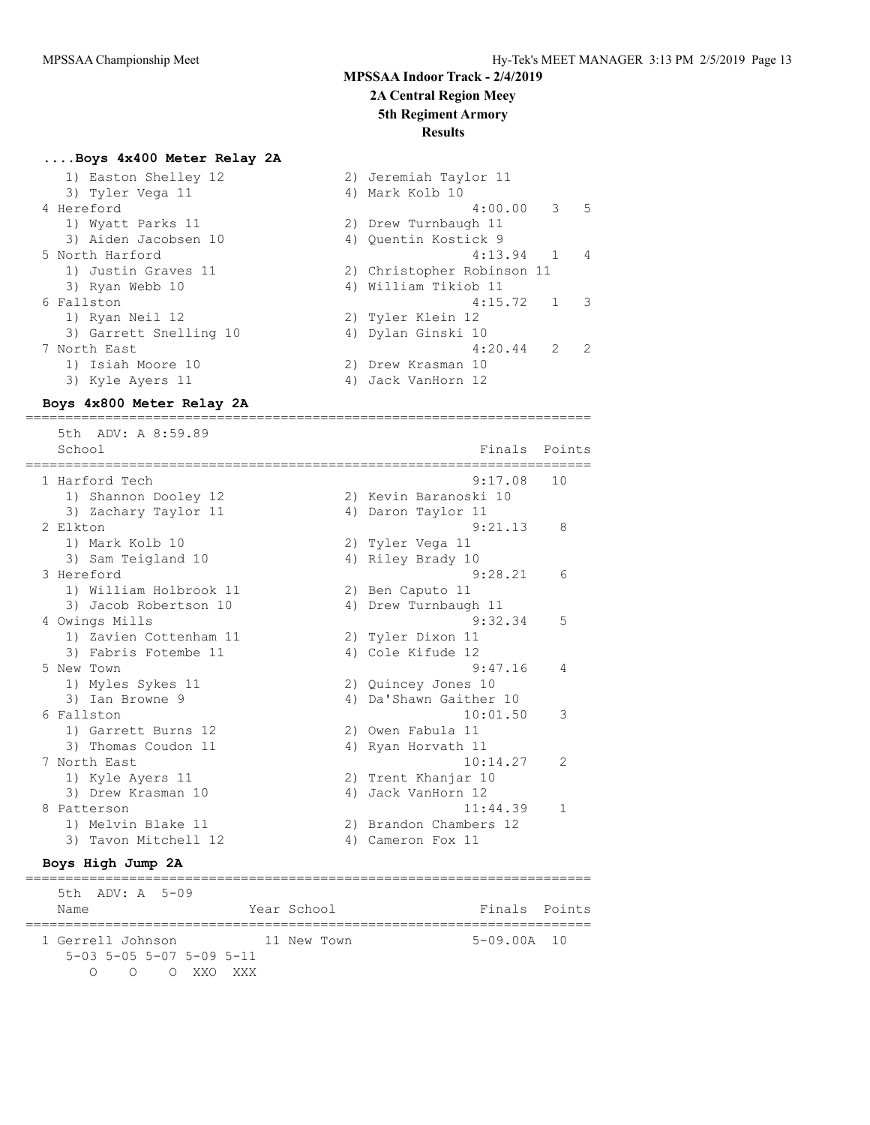#### **2A Central Region Meey**

## **5th Regiment Armory**

2) Jeremiah Taylor 11 4) Mark Kolb 10

### **Results**

#### **....Boys 4x400 Meter Relay 2A**

|  | 1) Easton Shelley 12   | 2) Jeremiah Taylor  |
|--|------------------------|---------------------|
|  | 3) Tyler Vega 11       | 4) Mark Kolb 10     |
|  | 4 Hereford             | 4:0                 |
|  | 1) Wyatt Parks 11      | 2) Drew Turnbaugh 1 |
|  | 3) Aiden Jacobsen 10   | 4) Ouentin Kostick  |
|  | 5 North Harford        | 4:1                 |
|  | 1) Justin Graves 11    | 2) Christopher Rob: |
|  | 3) Ryan Webb 10        | 4) William Tikiob 1 |
|  | 6 Fallston             | 4:1                 |
|  | 1) Ryan Neil 12        | 2) Tyler Klein 12   |
|  | 3) Garrett Snelling 10 | 4) Dylan Ginski 10  |
|  | 7 North East           | 4:2                 |
|  | 1) Isiah Moore 10      | 2) Drew Krasman 10  |
|  | 3) Kyle Ayers 11       | 4) Jack VanHorn 12  |
|  |                        |                     |

### $4:00.00$  3 5 2) Drew Turnbaugh 11 4) Quentin Kostick 9  $4:13.94$  1 4 2) Christopher Robinson 11 4) William Tikiob 11 6 Fallston 4:15.72 1 3 2) Tyler Klein 12 4) Dylan Ginski 10  $4:20.44$  2 2 2) Drew Krasman 10

#### **Boys 4x800 Meter Relay 2A** =======================================================================

 5th ADV: A 8:59.89 School Finals Points School Finals Points School Finals Points School Finals Points School Finals Points School ======================================================================= 1 Harford Tech 9:17.08 10 1) Shannon Dooley 12 2) Kevin Baranoski 10 3) Zachary Taylor 11 (4) Daron Taylor 11 2 Elkton 9:21.13 8 1) Mark Kolb 10 2) Tyler Vega 11 3) Sam Teigland 10 4) Riley Brady 10 3) Sam Teigland 10 (1995) (1994) Alley Brady 10<br>3 Hereford (1995) 9:28.21 (1996) 9:28.21 (1996) 9:28.21 (1996) 9:28.21 (1997) 9:28.21 (1997) 9:28.21 (1997) 9:28.21 (1997) 9:28.21 (1997) 9:28.21 (1997) 9:28.21 (1997) 9:28.2 1) William Holbrook 11 2) Ben Caputo 11 3) Jacob Robertson 10 <a>> 4) Drew Turnbaugh 11 4 Owings Mills 9:32.34 5 1) Zavien Cottenham 11 2) Tyler Dixon 11 3) Fabris Fotembe 11 4) Cole Kifude 12 5 New Town 9:47.16 4 1) Myles Sykes 11 2) Quincey Jones 10 3) Ian Browne 9 4) Da'Shawn Gaither 10 6 Fallston 10:01.50 3 1) Garrett Burns 12 2) Owen Fabula 11 3) Thomas Coudon 11 4) Ryan Horvath 11 7 North East 10:14.27 2 1) Kyle Ayers 11 2) Trent Khanjar 10 3) Drew Krasman 10 4) Jack VanHorn 12 8 Patterson 11:44.39 1 1) Melvin Blake 11 2) Brandon Chambers 12 3) Tavon Mitchell 12 4) Cameron Fox 11

### **Boys High Jump 2A**

======================================================================= 5th ADV: A 5-09 Name The Year School Team Points Points ======================================================================= 1 Gerrell Johnson 11 New Town 5-09.00A 10 5-03 5-05 5-07 5-09 5-11 O O O XXO XXX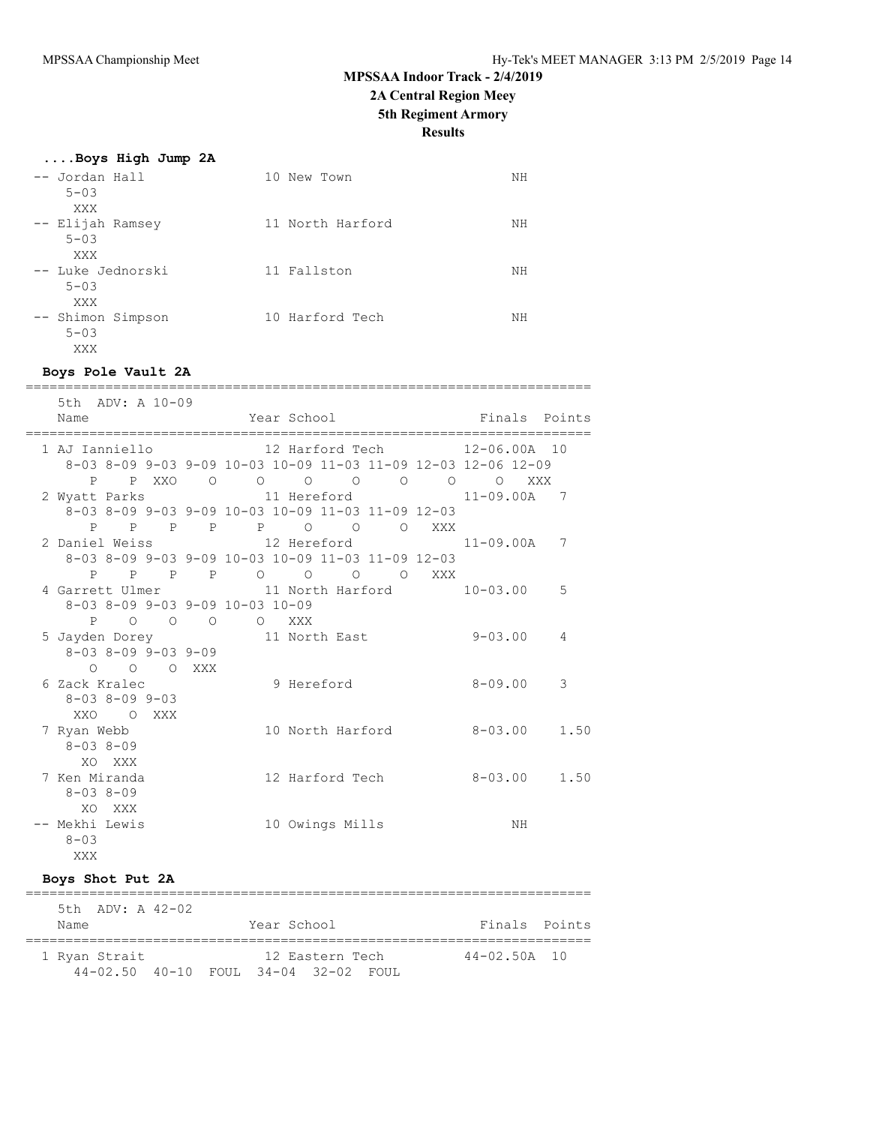# **MPSSAA Indoor Track - 2/4/2019 2A Central Region Meey**

# **5th Regiment Armory**

# **Results**

### **....Boys High Jump 2A**

| -- Jordan Hall<br>$5 - 0.3$           | 10 New Town      | NΗ |
|---------------------------------------|------------------|----|
| XXX<br>-- Elijah Ramsey<br>$5 - 03$   | 11 North Harford | NΗ |
| XXX<br>-- Luke Jednorski<br>$5 - 0.3$ | 11 Fallston      | ΝH |
| XXX<br>-- Shimon Simpson<br>$5 - 03$  | 10 Harford Tech  | ΝH |
| XXX                                   |                  |    |

=======================================================================

### **Boys Pole Vault 2A**

| 5th ADV: A 10-09                                                  |                                               |                               |  |                 |    |    |
|-------------------------------------------------------------------|-----------------------------------------------|-------------------------------|--|-----------------|----|----|
| Name                                                              | Year School National Section of Finals Points |                               |  |                 |    |    |
| 1 AJ Ianniello               12 Harford Tech         12-06.00A 10 |                                               |                               |  |                 |    |    |
| 8-03 8-09 9-03 9-09 10-03 10-09 11-03 11-09 12-03 12-06 12-09     |                                               |                               |  |                 |    |    |
| P P XXO 0 0 0 0 0 0 0 0 XXX                                       |                                               |                               |  |                 |    |    |
| 2 Wyatt Parks 11 Hereford                                         |                                               |                               |  | $11 - 09.00A$ 7 |    |    |
| 8-03 8-09 9-03 9-09 10-03 10-09 11-03 11-09 12-03                 |                                               |                               |  |                 |    |    |
| P P P P P P O O O XXX                                             |                                               |                               |  |                 |    |    |
| 2 Daniel Weiss $12$ Hereford $11-09.00A$ 7                        |                                               |                               |  |                 |    |    |
| 8-03 8-09 9-03 9-09 10-03 10-09 11-03 11-09 12-03                 |                                               |                               |  |                 |    |    |
| P P P P O O O O XXX                                               |                                               |                               |  |                 |    |    |
| 4 Garrett Ulmer 11 North Harford 10-03.00                         |                                               |                               |  |                 |    | .5 |
| $8-03$ $8-09$ $9-03$ $9-09$ $10-03$ $10-09$                       |                                               |                               |  |                 |    |    |
| P O O O O XXX                                                     |                                               |                               |  |                 |    |    |
| 5 Jayden Dorey 11 North East 9-03.00                              |                                               |                               |  |                 |    | 4  |
| $8-03$ $8-09$ $9-03$ $9-09$                                       |                                               |                               |  |                 |    |    |
| O O O XXX                                                         |                                               |                               |  |                 |    |    |
| 6 Zack Kralec                                                     | 9 Hereford                                    |                               |  | $8 - 09.00$     |    | 3  |
| 8-03 8-09 9-03                                                    |                                               |                               |  |                 |    |    |
| XXO OXXX                                                          |                                               |                               |  |                 |    |    |
| 7 Ryan Webb                                                       |                                               | 10 North Harford 8-03.00 1.50 |  |                 |    |    |
| $8 - 038 - 09$                                                    |                                               |                               |  |                 |    |    |
| XO XXX                                                            |                                               |                               |  |                 |    |    |
| 7 Ken Miranda                                                     |                                               |                               |  |                 |    |    |
| $8 - 038 - 09$                                                    |                                               |                               |  |                 |    |    |
| XO XXX                                                            |                                               |                               |  |                 |    |    |
| -- Mekhi Lewis                                                    |                                               | 10 Owings Mills               |  |                 | ΝH |    |
| $8 - 03$                                                          |                                               |                               |  |                 |    |    |
| XXX                                                               |                                               |                               |  |                 |    |    |

### **Boys Shot Put 2A**

|               | $5th$ ADV: A $42-02$                                 |             |                 |  |                  |  |
|---------------|------------------------------------------------------|-------------|-----------------|--|------------------|--|
| Name          |                                                      | Year School |                 |  | Finals Points    |  |
| 1 Ryan Strait |                                                      |             | 12 Eastern Tech |  | $44 - 02.50A$ 10 |  |
|               | $44 - 02.50$ $40 - 10$ FOUL $34 - 04$ $32 - 02$ FOUL |             |                 |  |                  |  |